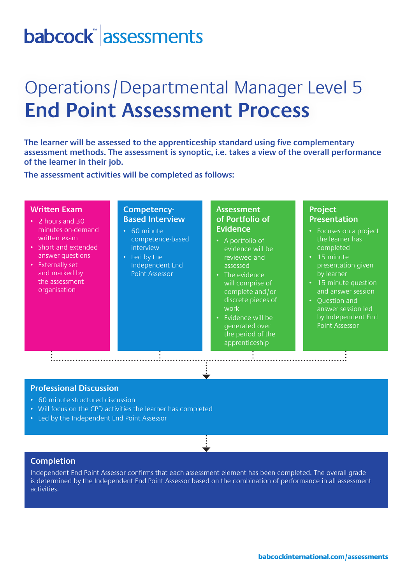# babcock assessments

# Operations/Departmental Manager Level 5 **End Point Assessment Process**

**The learner will be assessed to the apprenticeship standard using five complementary assessment methods. The assessment is synoptic, i.e. takes a view of the overall performance of the learner in their job.** 

**The assessment activities will be completed as follows:**

#### **Written Exam**

- 2 hours and 30 minutes on-demand written exam
- Short and extended answer questions
- Externally set and marked by the assessment organisation

### **Competency-Based Interview**

- 60 minute competence-based interview
- Led by the Independent End Point Assessor

### **Assessment of Portfolio of Evidence**

- A portfolio of evidence will be reviewed and assessed
- The evidence will comprise of complete and/or discrete pieces of work
- Evidence will be generated over the period of the apprenticeship

## **Project Presentation**

- Focuses on a project the learner has completed
- 15 minute presentation given by learner
- 15 minute question and answer session
- Question and answer session led by Independent End Point Assessor

#### **Professional Discussion**

- 60 minute structured discussion
- Will focus on the CPD activities the learner has completed
- Led by the Independent End Point Assessor

#### **Completion**

Independent End Point Assessor confirms that each assessment element has been completed. The overall grade is determined by the Independent End Point Assessor based on the combination of performance in all assessment activities.